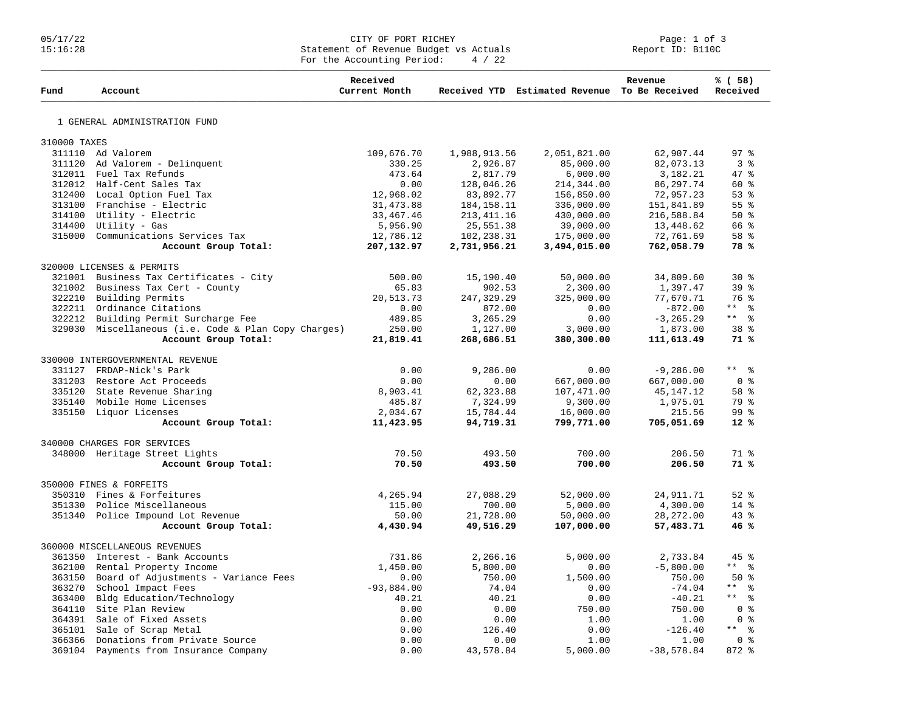## 05/17/22 Page: 1 of 3 15:16:28 Statement of Revenue Budget vs Actuals Report ID: B110C For the Accounting Period:  $4 / 22$

| Fund         | Account                                              | Received<br>Current Month |              | Received YTD Estimated Revenue To Be Received | Revenue      | % (58)<br>Received |
|--------------|------------------------------------------------------|---------------------------|--------------|-----------------------------------------------|--------------|--------------------|
|              | 1 GENERAL ADMINISTRATION FUND                        |                           |              |                                               |              |                    |
| 310000 TAXES |                                                      |                           |              |                                               |              |                    |
|              | 311110 Ad Valorem                                    | 109,676.70                | 1,988,913.56 | 2,051,821.00                                  | 62,907.44    | 97 <sub>8</sub>    |
| 311120       | Ad Valorem - Delinquent                              | 330.25                    | 2,926.87     | 85,000.00                                     | 82,073.13    | 3 <sup>8</sup>     |
|              | 312011 Fuel Tax Refunds                              | 473.64                    | 2,817.79     | 6,000.00                                      | 3,182.21     | $47*$              |
|              | 312012 Half-Cent Sales Tax                           | 0.00                      | 128,046.26   | 214,344.00                                    | 86, 297.74   | $60*$              |
|              | 312400 Local Option Fuel Tax                         | 12,968.02                 | 83,892.77    | 156,850.00                                    | 72,957.23    | 53%                |
|              | 313100 Franchise - Electric                          | 31, 473.88                | 184, 158. 11 | 336,000.00                                    | 151,841.89   | 55 <sup>8</sup>    |
|              | 314100 Utility - Electric                            | 33, 467. 46               | 213, 411.16  | 430,000.00                                    | 216,588.84   | $50*$              |
|              | 314400 Utility - Gas                                 | 5,956.90                  | 25,551.38    | 39,000.00                                     | 13,448.62    | 66 %               |
|              | 315000 Communications Services Tax                   | 12,786.12                 | 102,238.31   | 175,000.00                                    | 72,761.69    | 58 %               |
|              | Account Group Total:                                 | 207,132.97                | 2,731,956.21 | 3,494,015.00                                  | 762,058.79   | 78%                |
|              | 320000 LICENSES & PERMITS                            |                           |              |                                               |              |                    |
|              | 321001 Business Tax Certificates - City              | 500.00                    | 15,190.40    | 50,000.00                                     | 34,809.60    | $30*$              |
|              | 321002 Business Tax Cert - County                    | 65.83                     | 902.53       | 2,300.00                                      | 1,397.47     | 39 <sup>8</sup>    |
|              | 322210 Building Permits                              | 20,513.73                 | 247,329.29   | 325,000.00                                    | 77,670.71    | 76 %               |
|              | 322211 Ordinance Citations                           | 0.00                      | 872.00       | 0.00                                          | $-872.00$    | ** 8               |
|              | 322212 Building Permit Surcharge Fee                 | 489.85                    | 3,265.29     | 0.00                                          | $-3, 265.29$ | $***$ $  -$        |
|              | 329030 Miscellaneous (i.e. Code & Plan Copy Charges) | 250.00                    | 1,127.00     | 3,000.00                                      | 1,873.00     | 38 <sup>8</sup>    |
|              | Account Group Total:                                 | 21,819.41                 | 268,686.51   | 380,300.00                                    | 111,613.49   | 71%                |
|              | 330000 INTERGOVERNMENTAL REVENUE                     |                           |              |                                               |              |                    |
|              | 331127 FRDAP-Nick's Park                             | 0.00                      | 9,286.00     | 0.00                                          | $-9,286.00$  | $***$ $  -$        |
| 331203       | Restore Act Proceeds                                 | 0.00                      | 0.00         | 667,000.00                                    | 667,000.00   | 0 <sup>8</sup>     |
| 335120       | State Revenue Sharing                                | 8,903.41                  | 62,323.88    | 107,471.00                                    | 45, 147. 12  | 58 <sup>8</sup>    |
|              | 335140 Mobile Home Licenses                          | 485.87                    | 7,324.99     | 9,300.00                                      | 1,975.01     | 79 %               |
|              | 335150 Liquor Licenses                               | 2,034.67                  | 15,784.44    | 16,000.00                                     | 215.56       | 99 <sup>8</sup>    |
|              | Account Group Total:                                 | 11,423.95                 | 94,719.31    | 799,771.00                                    | 705,051.69   | $12*$              |
|              | 340000 CHARGES FOR SERVICES                          |                           |              |                                               |              |                    |
|              | 348000 Heritage Street Lights                        | 70.50                     | 493.50       | 700.00                                        | 206.50       | 71 %               |
|              | Account Group Total:                                 | 70.50                     | 493.50       | 700.00                                        | 206.50       | 71%                |
|              | 350000 FINES & FORFEITS                              |                           |              |                                               |              |                    |
|              | 350310 Fines & Forfeitures                           | 4,265.94                  | 27,088.29    | 52,000.00                                     | 24, 911.71   | $52$ $%$           |
|              | 351330 Police Miscellaneous                          | 115.00                    | 700.00       | 5,000.00                                      | 4,300.00     | $14*$              |
|              | 351340 Police Impound Lot Revenue                    | 50.00                     | 21,728.00    | 50,000.00                                     | 28, 272.00   | $43*$              |
|              | Account Group Total:                                 | 4,430.94                  | 49,516.29    | 107,000.00                                    | 57,483.71    | 46%                |
|              | 360000 MISCELLANEOUS REVENUES                        |                           |              |                                               |              |                    |
| 361350       | Interest - Bank Accounts                             | 731.86                    | 2,266.16     | 5,000.00                                      | 2,733.84     | 45%                |
|              | 362100 Rental Property Income                        | 1,450.00                  | 5,800.00     | 0.00                                          | $-5,800.00$  | $***$ $%$          |
|              | 363150 Board of Adjustments - Variance Fees          | 0.00                      | 750.00       | 1,500.00                                      | 750.00       | $50*$              |
| 363270       | School Impact Fees                                   | $-93,884.00$              | 74.04        | 0.00                                          | $-74.04$     | $***$ $ -$         |
|              | 363400 Bldg Education/Technology                     | 40.21                     | 40.21        | 0.00                                          | $-40.21$     | $***$ %            |
|              | 364110 Site Plan Review                              | 0.00                      | 0.00         | 750.00                                        | 750.00       | 0 <sup>8</sup>     |
|              | 364391 Sale of Fixed Assets                          | 0.00                      | 0.00         | 1.00                                          | 1.00         | 0 <sup>8</sup>     |
|              | 365101 Sale of Scrap Metal                           | 0.00                      | 126.40       | 0.00                                          | $-126.40$    | $***$ %            |
|              | 366366 Donations from Private Source                 | 0.00                      | 0.00         | 1.00                                          | 1.00         | 0 ៖                |
| 369104       | Payments from Insurance Company                      | 0.00                      | 43,578.84    | 5,000.00                                      | $-38,578.84$ | $872$ $%$          |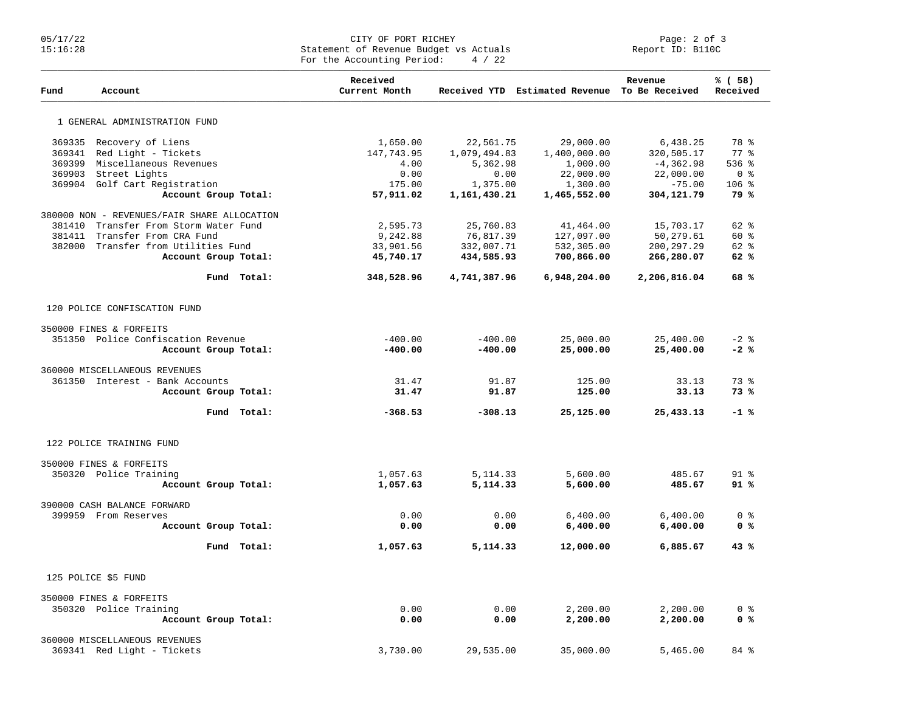## 05/17/22 CITY OF PORT RICHEY Page: 2 of 3 15:16:28 Statement of Revenue Budget vs Actuals Report ID: B110C For the Accounting Period:  $4 / 22$

| Fund   | Account                                     |             | Received<br>Current Month |              | Received YTD Estimated Revenue To Be Received | Revenue      | % ( 58 )<br>Received |
|--------|---------------------------------------------|-------------|---------------------------|--------------|-----------------------------------------------|--------------|----------------------|
|        | 1 GENERAL ADMINISTRATION FUND               |             |                           |              |                                               |              |                      |
| 369335 | Recovery of Liens                           |             | 1,650.00                  | 22,561.75    | 29,000.00                                     | 6,438.25     | 78 %                 |
| 369341 | Red Light - Tickets                         |             | 147,743.95                | 1,079,494.83 | 1,400,000.00                                  | 320,505.17   | $77*$                |
| 369399 | Miscellaneous Revenues                      |             | 4.00                      | 5,362.98     | 1,000.00                                      | $-4,362.98$  | $536$ %              |
|        | 369903 Street Lights                        |             | 0.00                      | 0.00         | 22,000.00                                     | 22,000.00    | 0 <sup>8</sup>       |
|        | 369904 Golf Cart Registration               |             | 175.00                    | 1,375.00     | 1,300.00                                      | $-75.00$     | $106$ %              |
|        | Account Group Total:                        |             | 57,911.02                 | 1,161,430.21 | 1,465,552.00                                  | 304,121.79   | 79 %                 |
|        | 380000 NON - REVENUES/FAIR SHARE ALLOCATION |             |                           |              |                                               |              |                      |
| 381410 | Transfer From Storm Water Fund              |             | 2,595.73                  | 25,760.83    | 41,464.00                                     | 15,703.17    | 62 %                 |
| 381411 | Transfer From CRA Fund                      |             | 9,242.88                  | 76,817.39    | 127,097.00                                    | 50,279.61    | 60 %                 |
| 382000 | Transfer from Utilities Fund                |             | 33,901.56                 | 332,007.71   | 532,305.00                                    | 200, 297.29  | 62 %                 |
|        | Account Group Total:                        |             | 45,740.17                 | 434,585.93   | 700,866.00                                    | 266,280.07   | 62%                  |
|        |                                             | Fund Total: | 348,528.96                | 4,741,387.96 | 6,948,204.00                                  | 2,206,816.04 | 68%                  |
|        | 120 POLICE CONFISCATION FUND                |             |                           |              |                                               |              |                      |
|        | 350000 FINES & FORFEITS                     |             |                           |              |                                               |              |                      |
|        | 351350 Police Confiscation Revenue          |             | $-400.00$                 | $-400.00$    | 25,000.00                                     | 25,400.00    | $-2$ $\frac{6}{6}$   |
|        | Account Group Total:                        |             | $-400.00$                 | $-400.00$    | 25,000.00                                     | 25,400.00    | $-2$ %               |
|        | 360000 MISCELLANEOUS REVENUES               |             |                           |              |                                               |              |                      |
|        | 361350 Interest - Bank Accounts             |             | 31.47                     | 91.87        | 125.00                                        | 33.13        | 73 %                 |
|        | Account Group Total:                        |             | 31.47                     | 91.87        | 125.00                                        | 33.13        | 73%                  |
|        |                                             | Fund Total: | $-368.53$                 | $-308.13$    | 25,125.00                                     | 25, 433, 13  | $-1$ %               |
|        | 122 POLICE TRAINING FUND                    |             |                           |              |                                               |              |                      |
|        | 350000 FINES & FORFEITS                     |             |                           |              |                                               |              |                      |
|        | 350320 Police Training                      |             | 1,057.63                  | 5, 114.33    | 5,600.00                                      | 485.67       | 91 <sup>°</sup>      |
|        | Account Group Total:                        |             | 1,057.63                  | 5,114.33     | 5,600.00                                      | 485.67       | 91%                  |
|        | 390000 CASH BALANCE FORWARD                 |             |                           |              |                                               |              |                      |
|        | 399959 From Reserves                        |             | 0.00                      | 0.00         | 6,400.00                                      | 6,400.00     | 0 <sub>8</sub>       |
|        | Account Group Total:                        |             | 0.00                      | 0.00         | 6,400.00                                      | 6,400.00     | 0 <sup>8</sup>       |
|        |                                             | Fund Total: | 1,057.63                  | 5,114.33     | 12,000.00                                     | 6,885.67     | 43%                  |
|        | 125 POLICE \$5 FUND                         |             |                           |              |                                               |              |                      |
|        | 350000 FINES & FORFEITS                     |             |                           |              |                                               |              |                      |
|        | 350320 Police Training                      |             | 0.00                      | 0.00         | 2,200.00                                      | 2,200.00     | 0 <sup>8</sup>       |
|        | Account Group Total:                        |             | 0.00                      | 0.00         | 2,200.00                                      | 2,200.00     | 0 <sup>8</sup>       |
|        | 360000 MISCELLANEOUS REVENUES               |             |                           |              |                                               |              |                      |
|        | 369341 Red Light - Tickets                  |             | 3,730.00                  | 29,535.00    | 35,000.00                                     | 5,465.00     | 84 %                 |